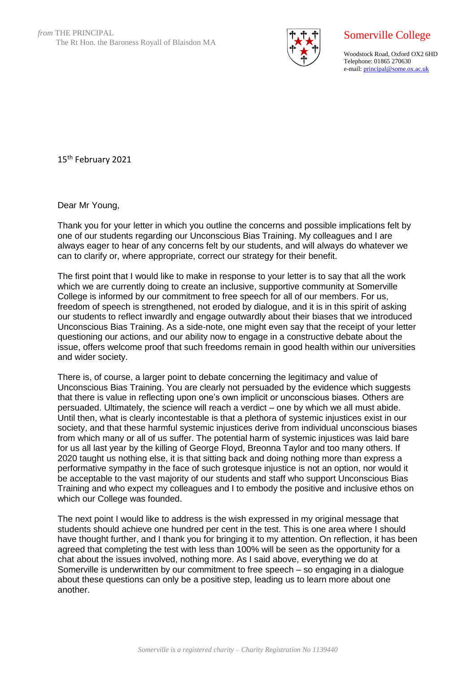

## Somerville College

Woodstock Road, Oxford OX2 6HD Telephone: 01865 270630 e-mail: [principal@some.ox.ac.uk](mailto:principal@some.ox.ac.uk)

15th February 2021

Dear Mr Young,

Thank you for your letter in which you outline the concerns and possible implications felt by one of our students regarding our Unconscious Bias Training. My colleagues and I are always eager to hear of any concerns felt by our students, and will always do whatever we can to clarify or, where appropriate, correct our strategy for their benefit.

The first point that I would like to make in response to your letter is to say that all the work which we are currently doing to create an inclusive, supportive community at Somerville College is informed by our commitment to free speech for all of our members. For us, freedom of speech is strengthened, not eroded by dialogue, and it is in this spirit of asking our students to reflect inwardly and engage outwardly about their biases that we introduced Unconscious Bias Training. As a side-note, one might even say that the receipt of your letter questioning our actions, and our ability now to engage in a constructive debate about the issue, offers welcome proof that such freedoms remain in good health within our universities and wider society.

There is, of course, a larger point to debate concerning the legitimacy and value of Unconscious Bias Training. You are clearly not persuaded by the evidence which suggests that there is value in reflecting upon one's own implicit or unconscious biases. Others are persuaded. Ultimately, the science will reach a verdict – one by which we all must abide. Until then, what is clearly incontestable is that a plethora of systemic injustices exist in our society, and that these harmful systemic injustices derive from individual unconscious biases from which many or all of us suffer. The potential harm of systemic injustices was laid bare for us all last year by the killing of George Floyd, Breonna Taylor and too many others. If 2020 taught us nothing else, it is that sitting back and doing nothing more than express a performative sympathy in the face of such grotesque injustice is not an option, nor would it be acceptable to the vast majority of our students and staff who support Unconscious Bias Training and who expect my colleagues and I to embody the positive and inclusive ethos on which our College was founded.

The next point I would like to address is the wish expressed in my original message that students should achieve one hundred per cent in the test. This is one area where I should have thought further, and I thank you for bringing it to my attention. On reflection, it has been agreed that completing the test with less than 100% will be seen as the opportunity for a chat about the issues involved, nothing more. As I said above, everything we do at Somerville is underwritten by our commitment to free speech – so engaging in a dialogue about these questions can only be a positive step, leading us to learn more about one another.